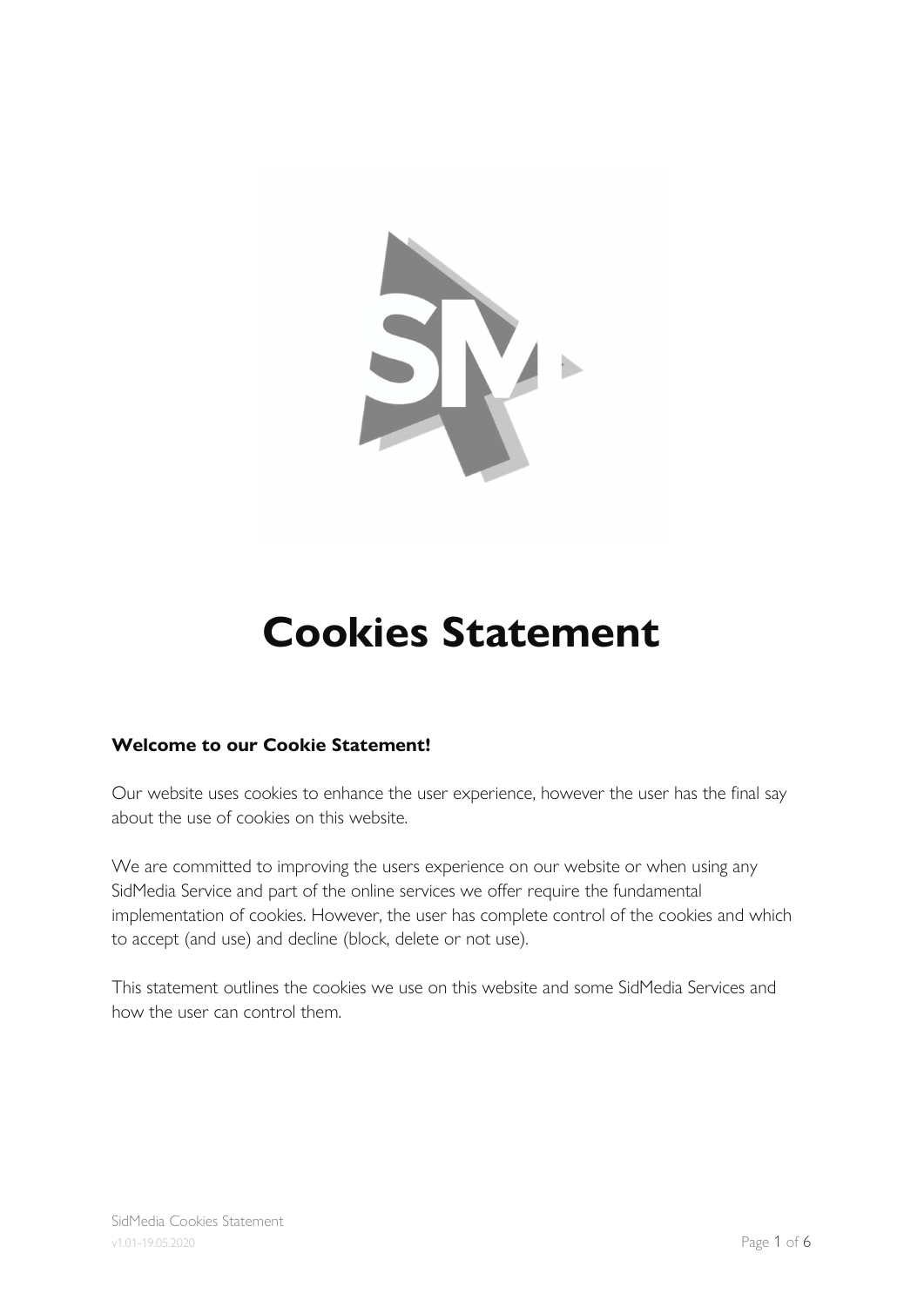

# Cookies Statement

## Welcome to our Cookie Statement!

Our website uses cookies to enhance the user experience, however the user has the final say about the use of cookies on this website.

We are committed to improving the users experience on our website or when using any SidMedia Service and part of the online services we offer require the fundamental implementation of cookies. However, the user has complete control of the cookies and which to accept (and use) and decline (block, delete or not use).

This statement outlines the cookies we use on this website and some SidMedia Services and how the user can control them.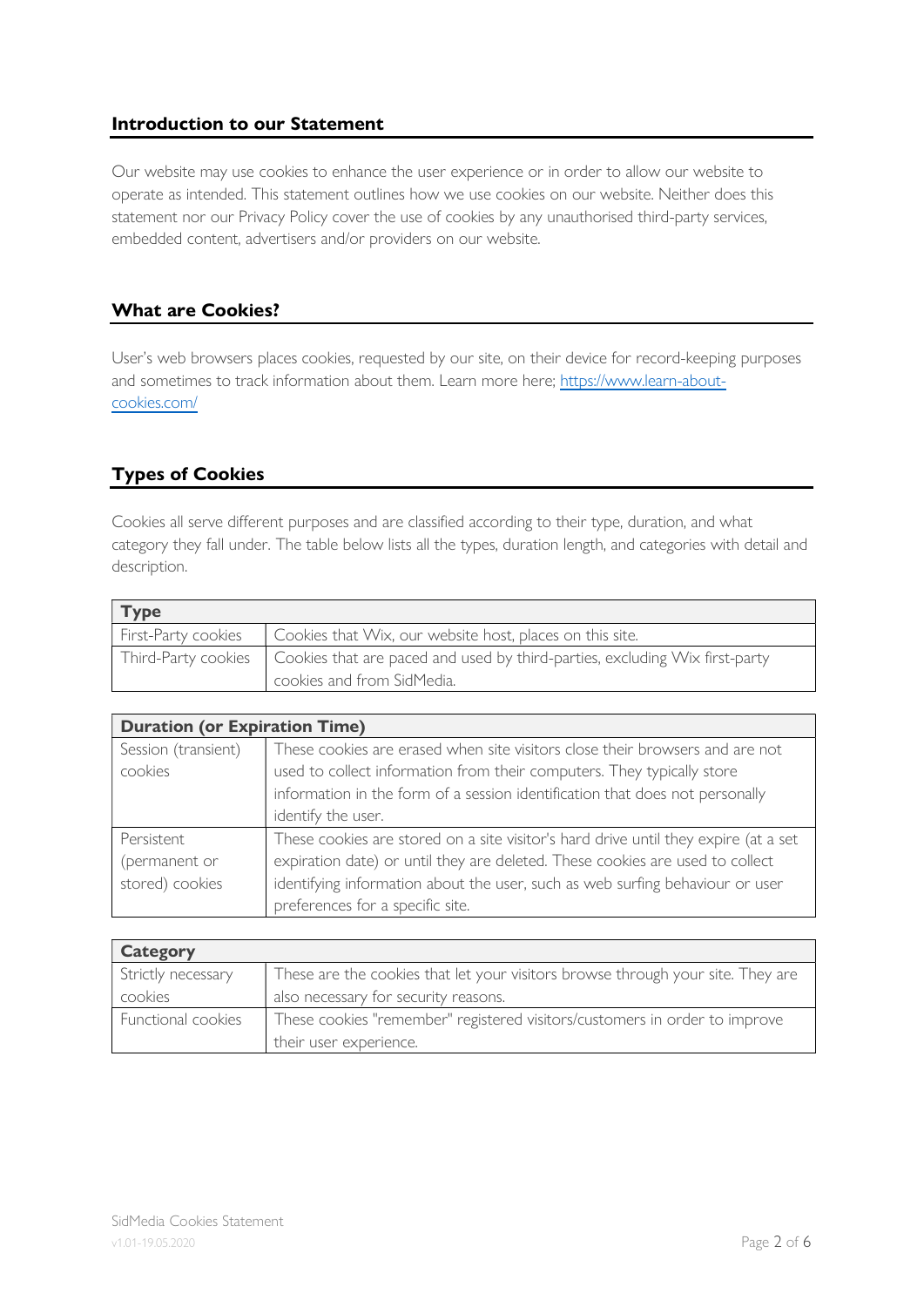#### Introduction to our Statement

Our website may use cookies to enhance the user experience or in order to allow our website to operate as intended. This statement outlines how we use cookies on our website. Neither does this statement nor our Privacy Policy cover the use of cookies by any unauthorised third-party services, embedded content, advertisers and/or providers on our website.

#### What are Cookies?

User's web browsers places cookies, requested by our site, on their device for record-keeping purposes and sometimes to track information about them. Learn more here; https://www.learn-aboutcookies.com/

## Types of Cookies

Cookies all serve different purposes and are classified according to their type, duration, and what category they fall under. The table below lists all the types, duration length, and categories with detail and description.

| $\mathsf{Type}$     |                                                                                                   |
|---------------------|---------------------------------------------------------------------------------------------------|
| First-Party cookies | Cookies that Wix, our website host, places on this site.                                          |
|                     | Third-Party cookies   Cookies that are paced and used by third-parties, excluding Wix first-party |
|                     | cookies and from SidMedia.                                                                        |

| <b>Duration (or Expiration Time)</b> |                                                                                     |  |
|--------------------------------------|-------------------------------------------------------------------------------------|--|
| Session (transient)                  | These cookies are erased when site visitors close their browsers and are not        |  |
| cookies                              | used to collect information from their computers. They typically store              |  |
|                                      | information in the form of a session identification that does not personally        |  |
|                                      | identify the user.                                                                  |  |
| Persistent                           | These cookies are stored on a site visitor's hard drive until they expire (at a set |  |
| (permanent or                        | expiration date) or until they are deleted. These cookies are used to collect       |  |
| stored) cookies                      | identifying information about the user, such as web surfing behaviour or user       |  |
|                                      | preferences for a specific site.                                                    |  |

| Category           |                                                                                 |
|--------------------|---------------------------------------------------------------------------------|
| Strictly necessary | These are the cookies that let your visitors browse through your site. They are |
| cookies            | also necessary for security reasons.                                            |
| Functional cookies | These cookies "remember" registered visitors/customers in order to improve      |
|                    | their user experience.                                                          |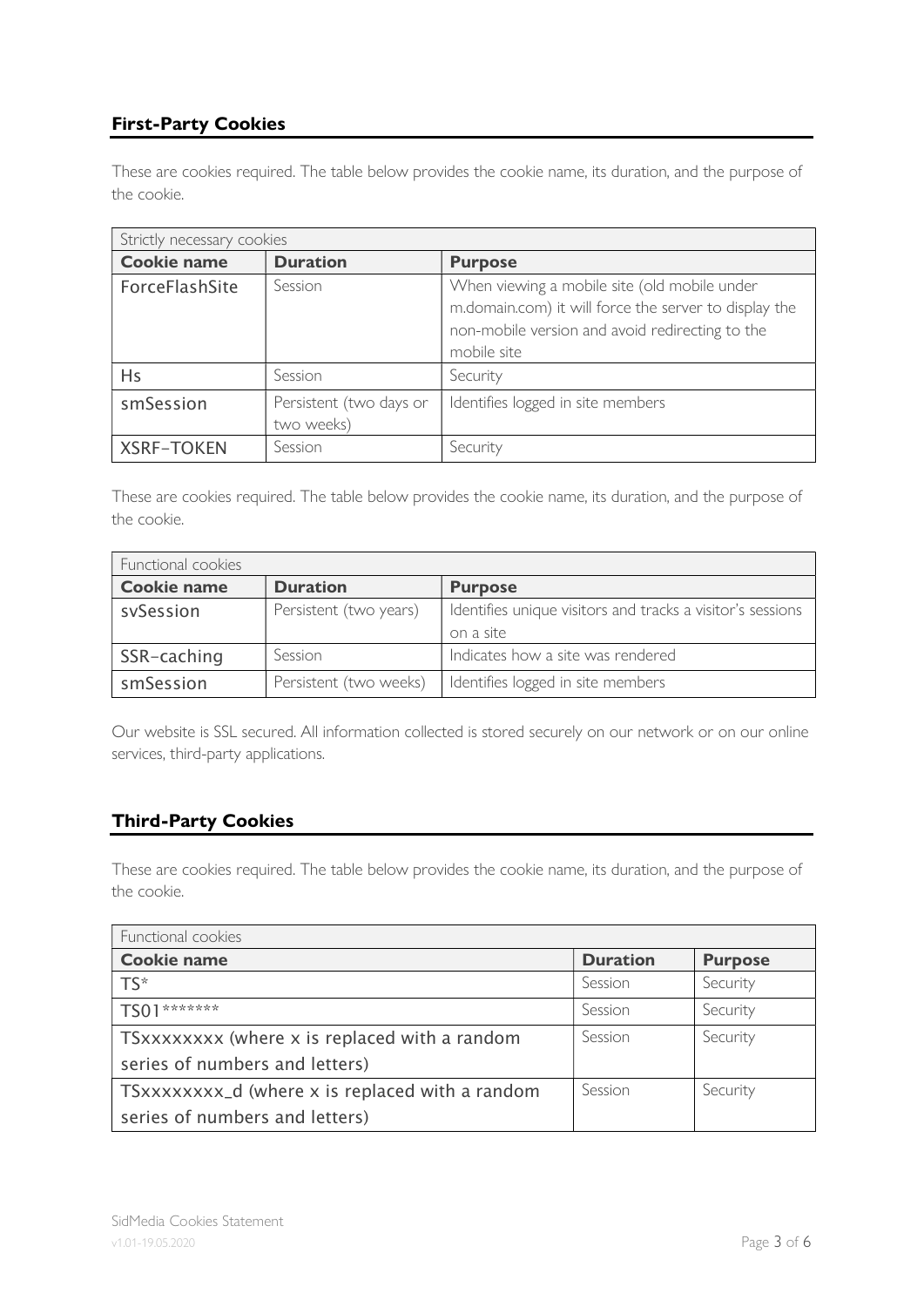# First-Party Cookies

These are cookies required. The table below provides the cookie name, its duration, and the purpose of the cookie.

| Strictly necessary cookies |                                       |                                                                                                                                                                         |
|----------------------------|---------------------------------------|-------------------------------------------------------------------------------------------------------------------------------------------------------------------------|
| <b>Cookie name</b>         | <b>Duration</b>                       | <b>Purpose</b>                                                                                                                                                          |
| ForceFlashSite             | Session                               | When viewing a mobile site (old mobile under<br>m.domain.com) it will force the server to display the<br>non-mobile version and avoid redirecting to the<br>mobile site |
| Hs                         | Session                               | Security                                                                                                                                                                |
| smSession                  | Persistent (two days or<br>two weeks) | Identifies logged in site members                                                                                                                                       |
| <b>XSRF-TOKEN</b>          | Session                               | Security                                                                                                                                                                |

These are cookies required. The table below provides the cookie name, its duration, and the purpose of the cookie.

| Functional cookies |                        |                                                            |  |
|--------------------|------------------------|------------------------------------------------------------|--|
| <b>Cookie name</b> | <b>Duration</b>        | <b>Purpose</b>                                             |  |
| sySession          | Persistent (two years) | Identifies unique visitors and tracks a visitor's sessions |  |
|                    |                        | on a site                                                  |  |
| SSR-caching        | Session                | Indicates how a site was rendered                          |  |
| smSession          | Persistent (two weeks) | Identifies logged in site members                          |  |

Our website is SSL secured. All information collected is stored securely on our network or on our online services, third-party applications.

## Third-Party Cookies

These are cookies required. The table below provides the cookie name, its duration, and the purpose of the cookie.

| Functional cookies                              |                 |                |  |
|-------------------------------------------------|-----------------|----------------|--|
| <b>Cookie name</b>                              | <b>Duration</b> | <b>Purpose</b> |  |
| $TS^*$                                          | Session         | Security       |  |
| *******                                         | Session         | Security       |  |
| TSxxxxxxxx (where x is replaced with a random   | Session         | Security       |  |
| series of numbers and letters)                  |                 |                |  |
| TSxxxxxxxx_d (where x is replaced with a random | Session         | Security       |  |
| series of numbers and letters)                  |                 |                |  |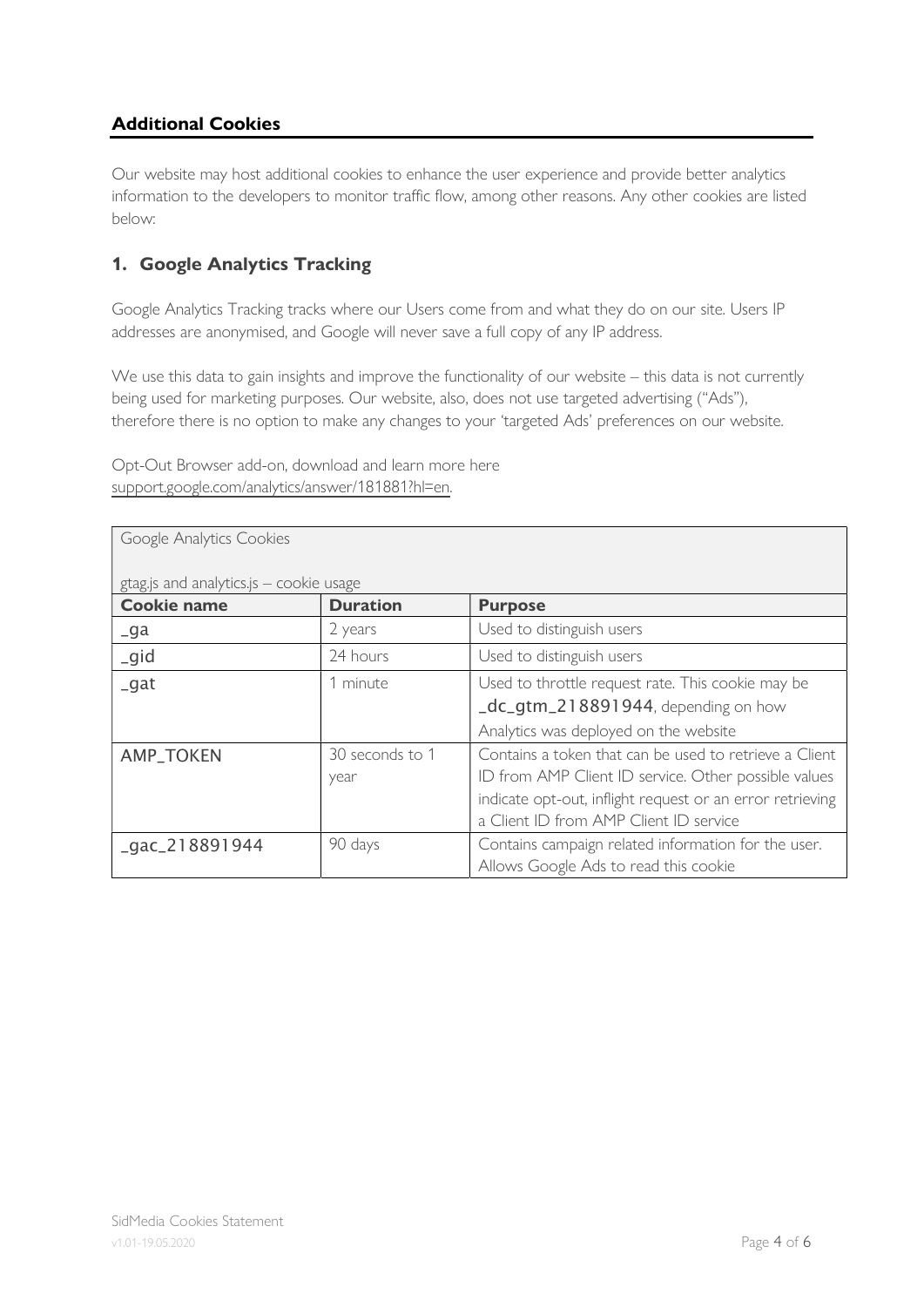# Additional Cookies

Our website may host additional cookies to enhance the user experience and provide better analytics information to the developers to monitor traffic flow, among other reasons. Any other cookies are listed below:

## 1. Google Analytics Tracking

Google Analytics Tracking tracks where our Users come from and what they do on our site. Users IP addresses are anonymised, and Google will never save a full copy of any IP address.

We use this data to gain insights and improve the functionality of our website – this data is not currently being used for marketing purposes. Our website, also, does not use targeted advertising ("Ads"), therefore there is no option to make any changes to your 'targeted Ads' preferences on our website.

Opt-Out Browser add-on, download and learn more here support.google.com/analytics/answer/181881?hl=en.

| Google Analytics Cookies |                                         |                                                           |  |  |
|--------------------------|-----------------------------------------|-----------------------------------------------------------|--|--|
|                          | gtag.js and analytics.js - cookie usage |                                                           |  |  |
| <b>Cookie name</b>       | <b>Duration</b>                         | <b>Purpose</b>                                            |  |  |
| $\overline{-}$ ga        | 2 years                                 | Used to distinguish users                                 |  |  |
| igid                     | 24 hours                                | Used to distinguish users                                 |  |  |
| $_g$ at                  | 1 minute                                | Used to throttle request rate. This cookie may be         |  |  |
|                          |                                         | _dc_gtm_218891944, depending on how                       |  |  |
|                          |                                         | Analytics was deployed on the website                     |  |  |
| <b>AMP_TOKEN</b>         | 30 seconds to 1                         | Contains a token that can be used to retrieve a Client    |  |  |
|                          | year                                    | ID from AMP Client ID service. Other possible values      |  |  |
|                          |                                         | indicate opt-out, inflight request or an error retrieving |  |  |
|                          |                                         | a Client ID from AMP Client ID service                    |  |  |
| $qac_218891944$          | 90 days                                 | Contains campaign related information for the user.       |  |  |
|                          |                                         | Allows Google Ads to read this cookie                     |  |  |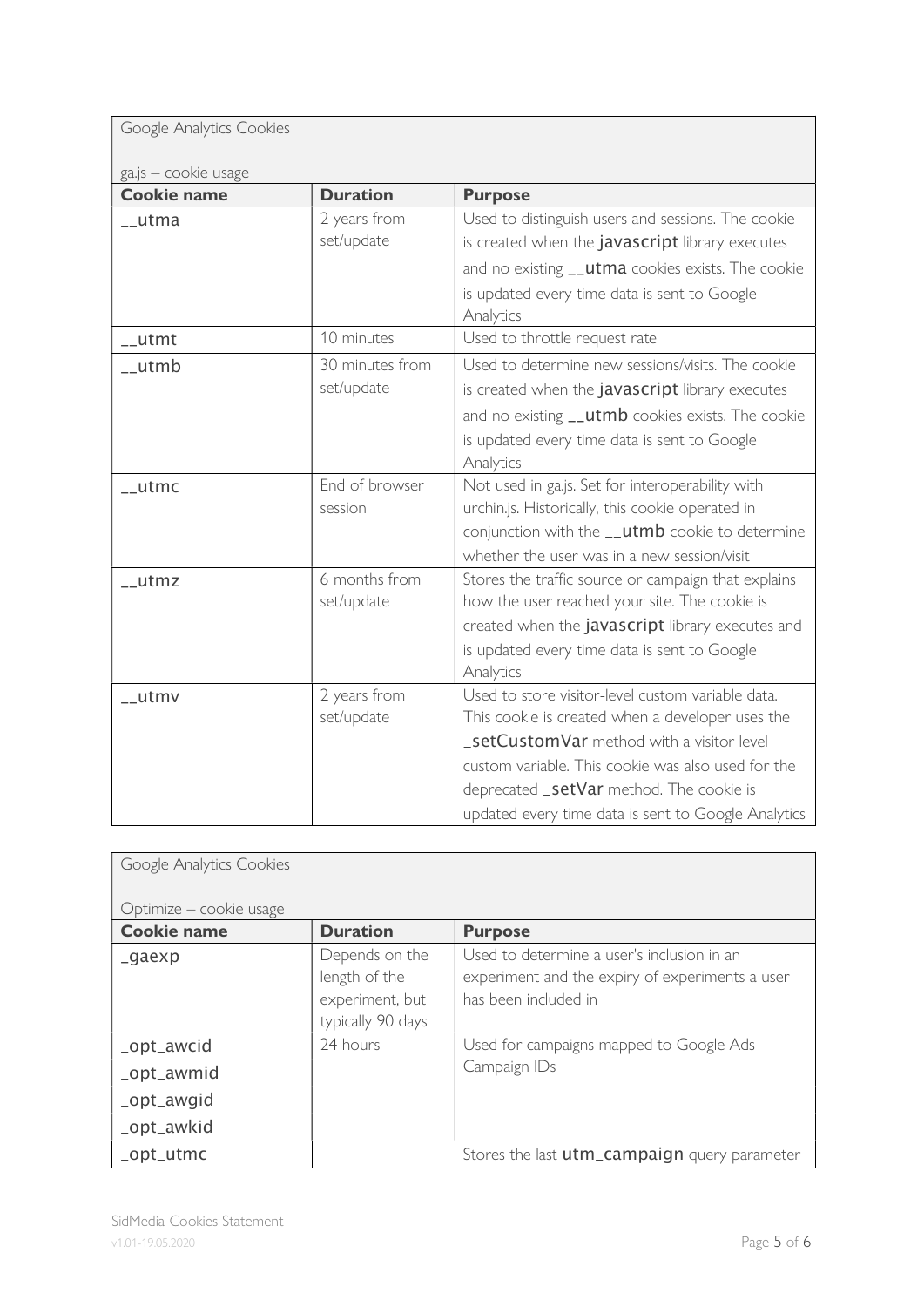| Google Analytics Cookies |  |
|--------------------------|--|
|                          |  |

| ga.js – cookie usage |  |
|----------------------|--|

| ga.js - cookie usage |                               |                                                                                                                                                                                                                                                                                                             |
|----------------------|-------------------------------|-------------------------------------------------------------------------------------------------------------------------------------------------------------------------------------------------------------------------------------------------------------------------------------------------------------|
| <b>Cookie name</b>   | <b>Duration</b>               | <b>Purpose</b>                                                                                                                                                                                                                                                                                              |
| __utma               | 2 years from<br>set/update    | Used to distinguish users and sessions. The cookie<br>is created when the javascript library executes<br>and no existing __utma cookies exists. The cookie<br>is updated every time data is sent to Google<br>Analytics                                                                                     |
| $\_$ utmt            | 10 minutes                    | Used to throttle request rate                                                                                                                                                                                                                                                                               |
| __utmb               | 30 minutes from<br>set/update | Used to determine new sessions/visits. The cookie<br>is created when the javascript library executes<br>and no existing __utmb cookies exists. The cookie<br>is updated every time data is sent to Google<br>Analytics                                                                                      |
| $\_$ utmc            | End of browser<br>session     | Not used in ga.js. Set for interoperability with<br>urchin.js. Historically, this cookie operated in<br>conjunction with the __utmb cookie to determine<br>whether the user was in a new session/visit                                                                                                      |
| $_l$ utmz            | 6 months from<br>set/update   | Stores the traffic source or campaign that explains<br>how the user reached your site. The cookie is<br>created when the javascript library executes and<br>is updated every time data is sent to Google<br>Analytics                                                                                       |
| __utmv               | 2 years from<br>set/update    | Used to store visitor-level custom variable data.<br>This cookie is created when a developer uses the<br>_setCustomVar method with a visitor level<br>custom variable. This cookie was also used for the<br>deprecated _setVar method. The cookie is<br>updated every time data is sent to Google Analytics |

| Google Analytics Cookies |                                                                         |                                                                                                                       |
|--------------------------|-------------------------------------------------------------------------|-----------------------------------------------------------------------------------------------------------------------|
| Optimize – cookie usage  |                                                                         |                                                                                                                       |
| <b>Cookie name</b>       | <b>Duration</b>                                                         | <b>Purpose</b>                                                                                                        |
| _gaexp                   | Depends on the<br>length of the<br>experiment, but<br>typically 90 days | Used to determine a user's inclusion in an<br>experiment and the expiry of experiments a user<br>has been included in |
| _opt_awcid               | 24 hours                                                                | Used for campaigns mapped to Google Ads                                                                               |
| _opt_awmid               |                                                                         | Campaign IDs                                                                                                          |
| _opt_awgid               |                                                                         |                                                                                                                       |
| _opt_awkid               |                                                                         |                                                                                                                       |
| _opt_utmc                |                                                                         | Stores the last utm_campaign query parameter                                                                          |